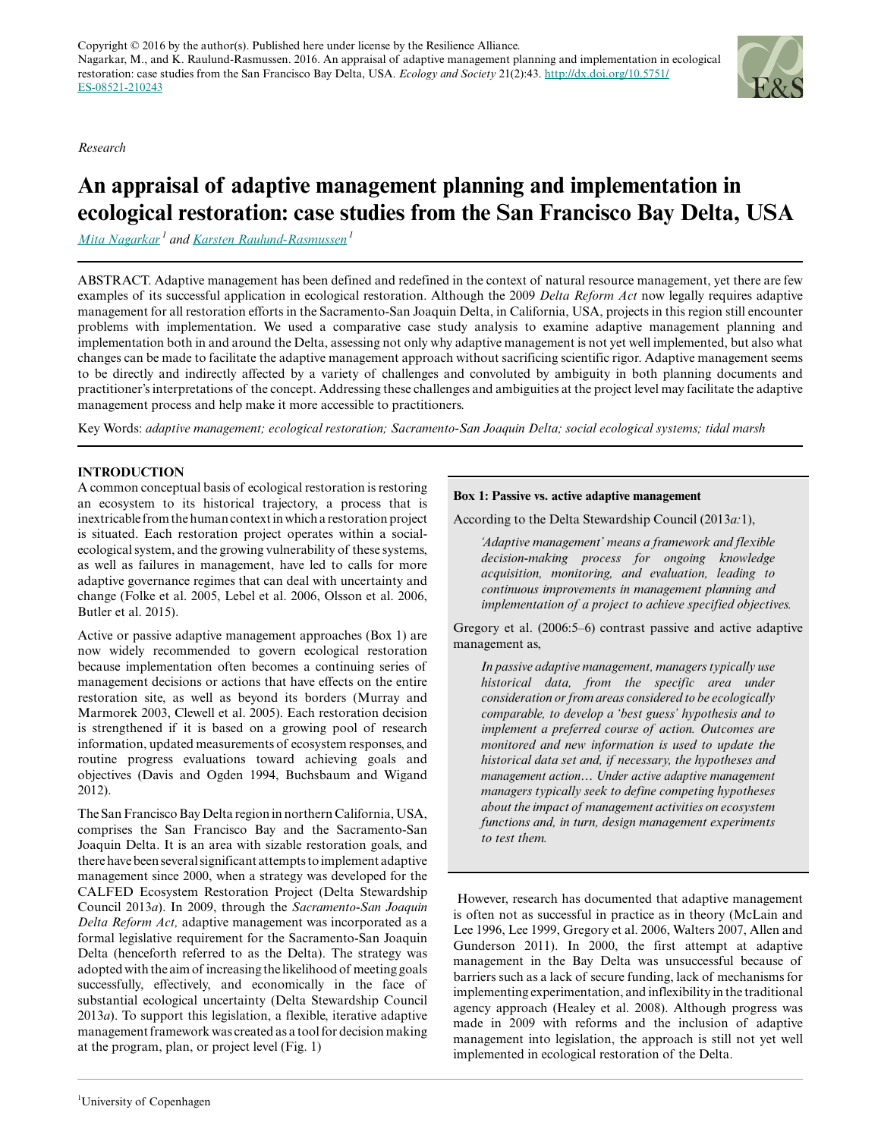*Research*

# **An appraisal of adaptive management planning and implementation in ecological restoration: case studies from the San Francisco Bay Delta, USA**

*[Mita Nagarkar](mailto:mita.nagarkar@gmail.com)<sup>1</sup> and [Karsten Raulund-Rasmussen](mailto:krr@ign.ku.dk)<sup>1</sup>*

ABSTRACT. Adaptive management has been defined and redefined in the context of natural resource management, yet there are few examples of its successful application in ecological restoration. Although the 2009 *Delta Reform Act* now legally requires adaptive management for all restoration efforts in the Sacramento-San Joaquin Delta, in California, USA, projects in this region still encounter problems with implementation. We used a comparative case study analysis to examine adaptive management planning and implementation both in and around the Delta, assessing not only why adaptive management is not yet well implemented, but also what changes can be made to facilitate the adaptive management approach without sacrificing scientific rigor. Adaptive management seems to be directly and indirectly affected by a variety of challenges and convoluted by ambiguity in both planning documents and practitioner's interpretations of the concept. Addressing these challenges and ambiguities at the project level may facilitate the adaptive management process and help make it more accessible to practitioners.

Key Words: *adaptive management; ecological restoration; Sacramento-San Joaquin Delta; social ecological systems; tidal marsh*

### **INTRODUCTION**

A common conceptual basis of ecological restoration is restoring an ecosystem to its historical trajectory, a process that is inextricable from the human context in which a restoration project is situated. Each restoration project operates within a socialecological system, and the growing vulnerability of these systems, as well as failures in management, have led to calls for more adaptive governance regimes that can deal with uncertainty and change (Folke et al. 2005, Lebel et al. 2006, Olsson et al. 2006, Butler et al. 2015).

Active or passive adaptive management approaches (Box 1) are now widely recommended to govern ecological restoration because implementation often becomes a continuing series of management decisions or actions that have effects on the entire restoration site, as well as beyond its borders (Murray and Marmorek 2003, Clewell et al. 2005). Each restoration decision is strengthened if it is based on a growing pool of research information, updated measurements of ecosystem responses, and routine progress evaluations toward achieving goals and objectives (Davis and Ogden 1994, Buchsbaum and Wigand 2012).

The San Francisco Bay Delta region in northern California, USA, comprises the San Francisco Bay and the Sacramento-San Joaquin Delta. It is an area with sizable restoration goals, and there have been several significant attempts to implement adaptive management since 2000, when a strategy was developed for the CALFED Ecosystem Restoration Project (Delta Stewardship Council 2013*a*). In 2009, through the *Sacramento-San Joaquin Delta Reform Act,* adaptive management was incorporated as a formal legislative requirement for the Sacramento-San Joaquin Delta (henceforth referred to as the Delta). The strategy was adopted with the aim of increasing the likelihood of meeting goals successfully, effectively, and economically in the face of substantial ecological uncertainty (Delta Stewardship Council 2013*a*). To support this legislation, a flexible, iterative adaptive management framework was created as a tool for decision making at the program, plan, or project level (Fig. 1)

#### **Box 1: Passive vs. active adaptive management**

According to the Delta Stewardship Council (2013*a:*1),

*'Adaptive management' means a framework and flexible decision-making process for ongoing knowledge acquisition, monitoring, and evaluation, leading to continuous improvements in management planning and implementation of a project to achieve specified objectives.*

Gregory et al. (2006:5–6) contrast passive and active adaptive management as,

*In passive adaptive management, managers typically use historical data, from the specific area under consideration or from areas considered to be ecologically comparable, to develop a 'best guess' hypothesis and to implement a preferred course of action. Outcomes are monitored and new information is used to update the historical data set and, if necessary, the hypotheses and management action… Under active adaptive management managers typically seek to define competing hypotheses about the impact of management activities on ecosystem functions and, in turn, design management experiments to test them.*

 However, research has documented that adaptive management is often not as successful in practice as in theory (McLain and Lee 1996, Lee 1999, Gregory et al. 2006, Walters 2007, Allen and Gunderson 2011). In 2000, the first attempt at adaptive management in the Bay Delta was unsuccessful because of barriers such as a lack of secure funding, lack of mechanisms for implementing experimentation, and inflexibility in the traditional agency approach (Healey et al. 2008). Although progress was made in 2009 with reforms and the inclusion of adaptive management into legislation, the approach is still not yet well implemented in ecological restoration of the Delta.

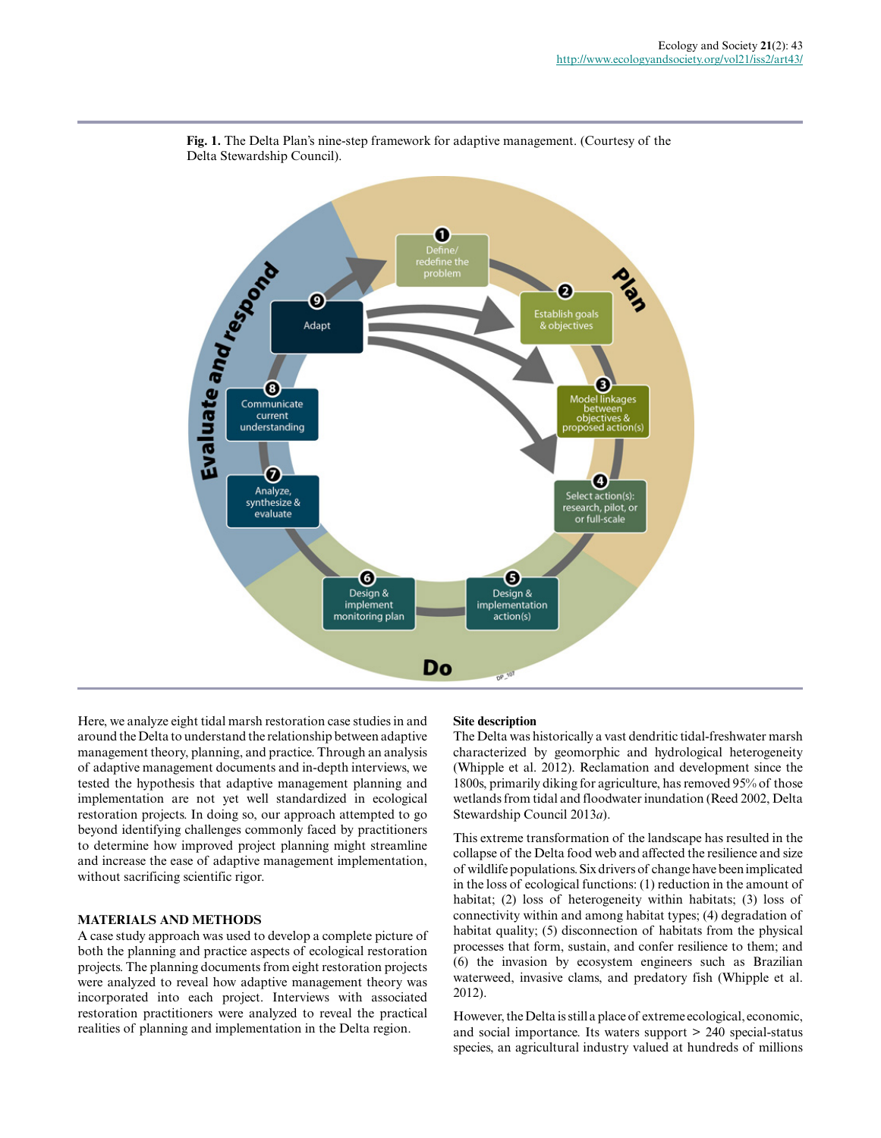

**Fig. 1.** The Delta Plan's nine-step framework for adaptive management. (Courtesy of the Delta Stewardship Council).

Here, we analyze eight tidal marsh restoration case studies in and around the Delta to understand the relationship between adaptive management theory, planning, and practice. Through an analysis of adaptive management documents and in-depth interviews, we tested the hypothesis that adaptive management planning and implementation are not yet well standardized in ecological restoration projects. In doing so, our approach attempted to go beyond identifying challenges commonly faced by practitioners to determine how improved project planning might streamline and increase the ease of adaptive management implementation, without sacrificing scientific rigor.

### **MATERIALS AND METHODS**

A case study approach was used to develop a complete picture of both the planning and practice aspects of ecological restoration projects. The planning documents from eight restoration projects were analyzed to reveal how adaptive management theory was incorporated into each project. Interviews with associated restoration practitioners were analyzed to reveal the practical realities of planning and implementation in the Delta region.

#### **Site description**

The Delta was historically a vast dendritic tidal-freshwater marsh characterized by geomorphic and hydrological heterogeneity (Whipple et al. 2012). Reclamation and development since the 1800s, primarily diking for agriculture, has removed 95% of those wetlands from tidal and floodwater inundation (Reed 2002, Delta Stewardship Council 2013*a*).

This extreme transformation of the landscape has resulted in the collapse of the Delta food web and affected the resilience and size of wildlife populations. Six drivers of change have been implicated in the loss of ecological functions: (1) reduction in the amount of habitat; (2) loss of heterogeneity within habitats; (3) loss of connectivity within and among habitat types; (4) degradation of habitat quality; (5) disconnection of habitats from the physical processes that form, sustain, and confer resilience to them; and (6) the invasion by ecosystem engineers such as Brazilian waterweed, invasive clams, and predatory fish (Whipple et al. 2012).

However, the Delta is still a place of extreme ecological, economic, and social importance. Its waters support > 240 special-status species, an agricultural industry valued at hundreds of millions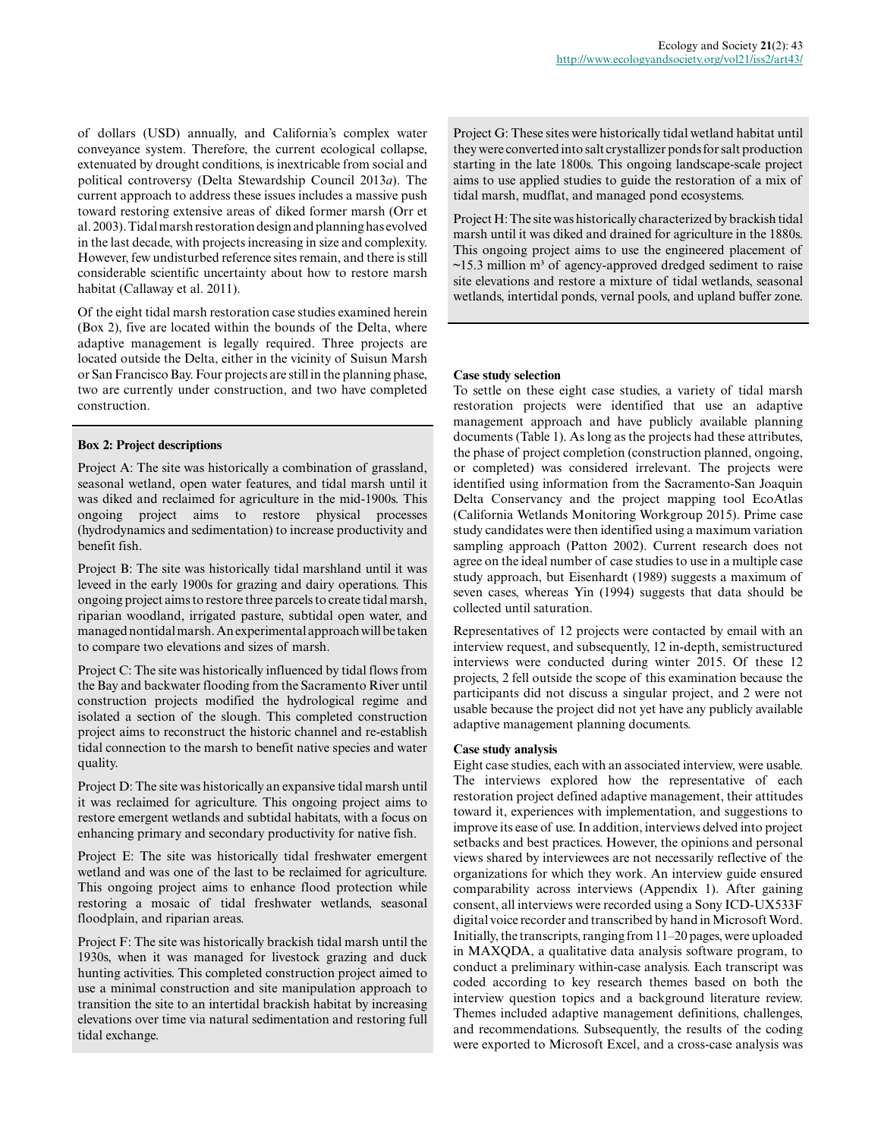of dollars (USD) annually, and California's complex water conveyance system. Therefore, the current ecological collapse, extenuated by drought conditions, is inextricable from social and political controversy (Delta Stewardship Council 2013*a*). The current approach to address these issues includes a massive push toward restoring extensive areas of diked former marsh (Orr et al. 2003). Tidal marsh restoration design and planning has evolved in the last decade, with projects increasing in size and complexity. However, few undisturbed reference sites remain, and there is still considerable scientific uncertainty about how to restore marsh habitat (Callaway et al. 2011).

Of the eight tidal marsh restoration case studies examined herein (Box 2), five are located within the bounds of the Delta, where adaptive management is legally required. Three projects are located outside the Delta, either in the vicinity of Suisun Marsh or San Francisco Bay. Four projects are still in the planning phase, two are currently under construction, and two have completed construction.

#### **Box 2: Project descriptions**

Project A: The site was historically a combination of grassland, seasonal wetland, open water features, and tidal marsh until it was diked and reclaimed for agriculture in the mid-1900s. This ongoing project aims to restore physical processes (hydrodynamics and sedimentation) to increase productivity and benefit fish.

Project B: The site was historically tidal marshland until it was leveed in the early 1900s for grazing and dairy operations. This ongoing project aims to restore three parcels to create tidal marsh, riparian woodland, irrigated pasture, subtidal open water, and managed nontidal marsh. An experimental approach will be taken to compare two elevations and sizes of marsh.

Project C: The site was historically influenced by tidal flows from the Bay and backwater flooding from the Sacramento River until construction projects modified the hydrological regime and isolated a section of the slough. This completed construction project aims to reconstruct the historic channel and re-establish tidal connection to the marsh to benefit native species and water quality.

Project D: The site was historically an expansive tidal marsh until it was reclaimed for agriculture. This ongoing project aims to restore emergent wetlands and subtidal habitats, with a focus on enhancing primary and secondary productivity for native fish.

Project E: The site was historically tidal freshwater emergent wetland and was one of the last to be reclaimed for agriculture. This ongoing project aims to enhance flood protection while restoring a mosaic of tidal freshwater wetlands, seasonal floodplain, and riparian areas.

Project F: The site was historically brackish tidal marsh until the 1930s, when it was managed for livestock grazing and duck hunting activities. This completed construction project aimed to use a minimal construction and site manipulation approach to transition the site to an intertidal brackish habitat by increasing elevations over time via natural sedimentation and restoring full tidal exchange.

Project G: These sites were historically tidal wetland habitat until they were converted into salt crystallizer ponds for salt production starting in the late 1800s. This ongoing landscape-scale project aims to use applied studies to guide the restoration of a mix of tidal marsh, mudflat, and managed pond ecosystems.

Project H: The site was historically characterized by brackish tidal marsh until it was diked and drained for agriculture in the 1880s. This ongoing project aims to use the engineered placement of  $\sim$ 15.3 million m<sup>3</sup> of agency-approved dredged sediment to raise site elevations and restore a mixture of tidal wetlands, seasonal wetlands, intertidal ponds, vernal pools, and upland buffer zone.

#### **Case study selection**

To settle on these eight case studies, a variety of tidal marsh restoration projects were identified that use an adaptive management approach and have publicly available planning documents (Table 1). As long as the projects had these attributes, the phase of project completion (construction planned, ongoing, or completed) was considered irrelevant. The projects were identified using information from the Sacramento-San Joaquin Delta Conservancy and the project mapping tool EcoAtlas (California Wetlands Monitoring Workgroup 2015). Prime case study candidates were then identified using a maximum variation sampling approach (Patton 2002). Current research does not agree on the ideal number of case studies to use in a multiple case study approach, but Eisenhardt (1989) suggests a maximum of seven cases, whereas Yin (1994) suggests that data should be collected until saturation.

Representatives of 12 projects were contacted by email with an interview request, and subsequently, 12 in-depth, semistructured interviews were conducted during winter 2015. Of these 12 projects, 2 fell outside the scope of this examination because the participants did not discuss a singular project, and 2 were not usable because the project did not yet have any publicly available adaptive management planning documents.

#### **Case study analysis**

Eight case studies, each with an associated interview, were usable. The interviews explored how the representative of each restoration project defined adaptive management, their attitudes toward it, experiences with implementation, and suggestions to improve its ease of use. In addition, interviews delved into project setbacks and best practices. However, the opinions and personal views shared by interviewees are not necessarily reflective of the organizations for which they work. An interview guide ensured comparability across interviews (Appendix 1). After gaining consent, all interviews were recorded using a Sony ICD-UX533F digital voice recorder and transcribed by hand in Microsoft Word. Initially, the transcripts, ranging from 11–20 pages, were uploaded in MAXQDA, a qualitative data analysis software program, to conduct a preliminary within-case analysis. Each transcript was coded according to key research themes based on both the interview question topics and a background literature review. Themes included adaptive management definitions, challenges, and recommendations. Subsequently, the results of the coding were exported to Microsoft Excel, and a cross-case analysis was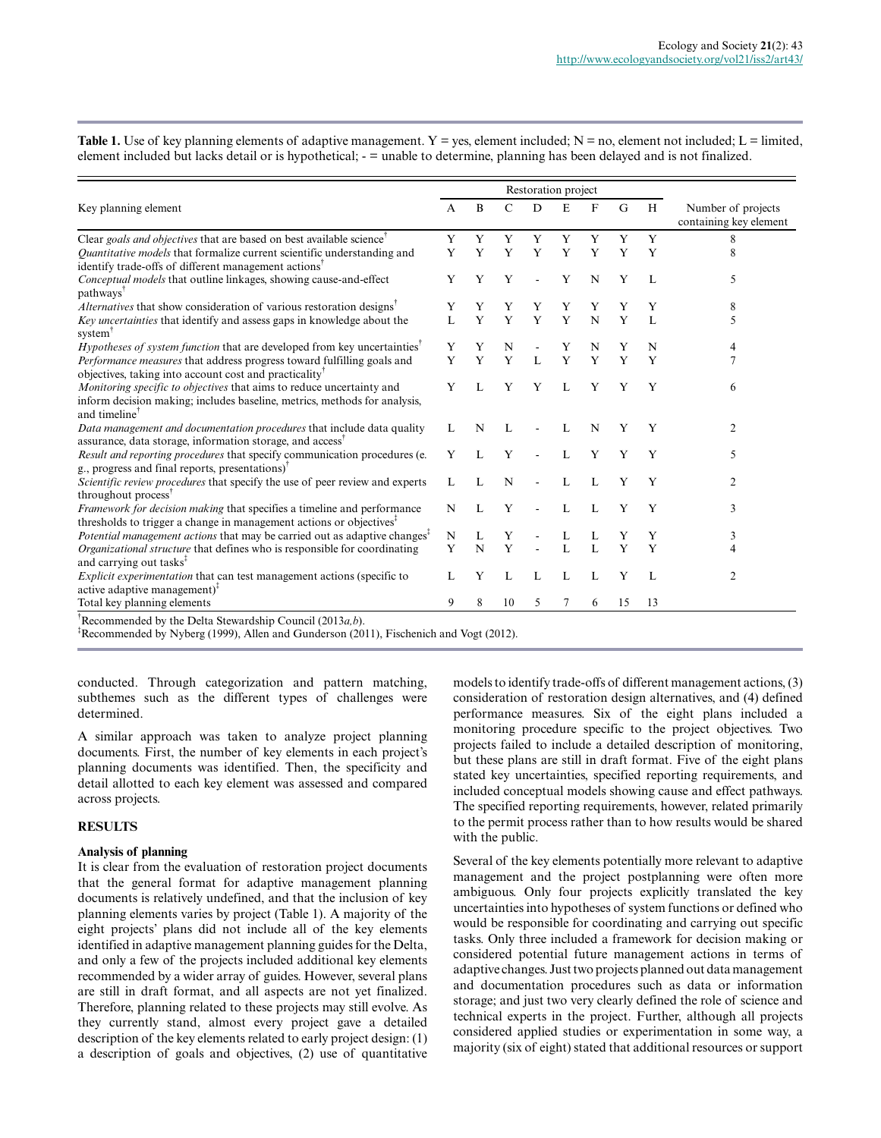|                                                                                                                                                                                 |   |   |    | Restoration project |              |             |    |    |                                              |
|---------------------------------------------------------------------------------------------------------------------------------------------------------------------------------|---|---|----|---------------------|--------------|-------------|----|----|----------------------------------------------|
| Key planning element                                                                                                                                                            | A | B | C  | D                   | E            | F           | G  | H  | Number of projects<br>containing key element |
| Clear goals and objectives that are based on best available science                                                                                                             | Y | Y | Y  | Y                   | Y            | Y           | Y  | Y  | 8                                            |
| Quantitative models that formalize current scientific understanding and<br>identify trade-offs of different management actions <sup>1</sup>                                     | Y | Y | Y  | Y                   | Y            | Y           | Y  | Y  | 8                                            |
| Conceptual models that outline linkages, showing cause-and-effect<br>pathways <sup>1</sup>                                                                                      | Y |   |    |                     | Y            | N           | Y  |    | 5                                            |
| Alternatives that show consideration of various restoration designs <sup>T</sup>                                                                                                | Y |   |    |                     | Y            |             |    | Y  | 8                                            |
| Key uncertainties that identify and assess gaps in knowledge about the<br>system <sup>1</sup>                                                                                   |   | Y | Y  | Y                   | Y            | $\mathbf N$ | Y  | L  | 5                                            |
| Hypotheses of system function that are developed from key uncertainties <sup>†</sup>                                                                                            | Y |   | N  |                     | Y            | N           |    | N  | 4                                            |
| <i>Performance measures</i> that address progress toward fulfilling goals and<br>objectives, taking into account cost and practicality <sup>™</sup>                             | Y | Y | Y  | L                   | Y            | Y           | Y  | Y  | 7                                            |
| Monitoring specific to objectives that aims to reduce uncertainty and<br>inform decision making; includes baseline, metrics, methods for analysis,<br>and timeline <sup>™</sup> | Y |   | Y  | Y                   |              | Y           | Y  | Y  | 6                                            |
| Data management and documentation procedures that include data quality<br>assurance, data storage, information storage, and access <sup>†</sup>                                 |   | N |    |                     | L            | N           | Y  | Y  | $\overline{c}$                               |
| Result and reporting procedures that specify communication procedures (e.<br>$g_{\cdot}$ , progress and final reports, presentations) <sup><math>\tau</math></sup>              | Y |   | Y  |                     |              | Y           | Y  | Y  | 5                                            |
| Scientific review procedures that specify the use of peer review and experts<br>throughout process <sup>†</sup>                                                                 |   |   | N  |                     | L            | L           | Y  | Y  | $\overline{c}$                               |
| Framework for decision making that specifies a timeline and performance<br>thresholds to trigger a change in management actions or objectives <sup><math>\bar{i}</math></sup>   | N |   | v  |                     | $\mathbf{L}$ | L           | Y  | Y  | 3                                            |
| <i>Potential management actions</i> that may be carried out as adaptive changes <sup><math>\bar{i}</math></sup>                                                                 | N |   |    |                     |              |             |    | Y  | 3                                            |
| Organizational structure that defines who is responsible for coordinating<br>and carrying out tasks <sup>1</sup>                                                                | Y | N | Y  |                     |              |             | Y  | Y  | 4                                            |
| <i>Explicit experimentation</i> that can test management actions (specific to<br>active adaptive management $)^{T}$                                                             |   | Y |    |                     |              |             | Y  |    | 2                                            |
| Total key planning elements                                                                                                                                                     | 9 | 8 | 10 | 5                   | 7            | 6           | 15 | 13 |                                              |
| $\int_{0}^{\infty}$ Recommended by the Delta Stewardship Council (2013 $a$ b)                                                                                                   |   |   |    |                     |              |             |    |    |                                              |

**Table 1.** Use of key planning elements of adaptive management.  $Y = yes$ , element included;  $N = no$ , element not included;  $L = limited$ , element included but lacks detail or is hypothetical; - = unable to determine, planning has been delayed and is not finalized.

†Recommended by the Delta Stewardship Council (2013*a,b*).

‡Recommended by Nyberg (1999), Allen and Gunderson (2011), Fischenich and Vogt (2012).

conducted. Through categorization and pattern matching, subthemes such as the different types of challenges were determined.

A similar approach was taken to analyze project planning documents. First, the number of key elements in each project's planning documents was identified. Then, the specificity and detail allotted to each key element was assessed and compared across projects.

#### **RESULTS**

#### **Analysis of planning**

It is clear from the evaluation of restoration project documents that the general format for adaptive management planning documents is relatively undefined, and that the inclusion of key planning elements varies by project (Table 1). A majority of the eight projects' plans did not include all of the key elements identified in adaptive management planning guides for the Delta, and only a few of the projects included additional key elements recommended by a wider array of guides. However, several plans are still in draft format, and all aspects are not yet finalized. Therefore, planning related to these projects may still evolve. As they currently stand, almost every project gave a detailed description of the key elements related to early project design: (1) a description of goals and objectives, (2) use of quantitative models to identify trade-offs of different management actions, (3) consideration of restoration design alternatives, and (4) defined performance measures. Six of the eight plans included a monitoring procedure specific to the project objectives. Two projects failed to include a detailed description of monitoring, but these plans are still in draft format. Five of the eight plans stated key uncertainties, specified reporting requirements, and included conceptual models showing cause and effect pathways. The specified reporting requirements, however, related primarily to the permit process rather than to how results would be shared with the public.

Several of the key elements potentially more relevant to adaptive management and the project postplanning were often more ambiguous. Only four projects explicitly translated the key uncertainties into hypotheses of system functions or defined who would be responsible for coordinating and carrying out specific tasks. Only three included a framework for decision making or considered potential future management actions in terms of adaptive changes. Just two projects planned out data management and documentation procedures such as data or information storage; and just two very clearly defined the role of science and technical experts in the project. Further, although all projects considered applied studies or experimentation in some way, a majority (six of eight) stated that additional resources or support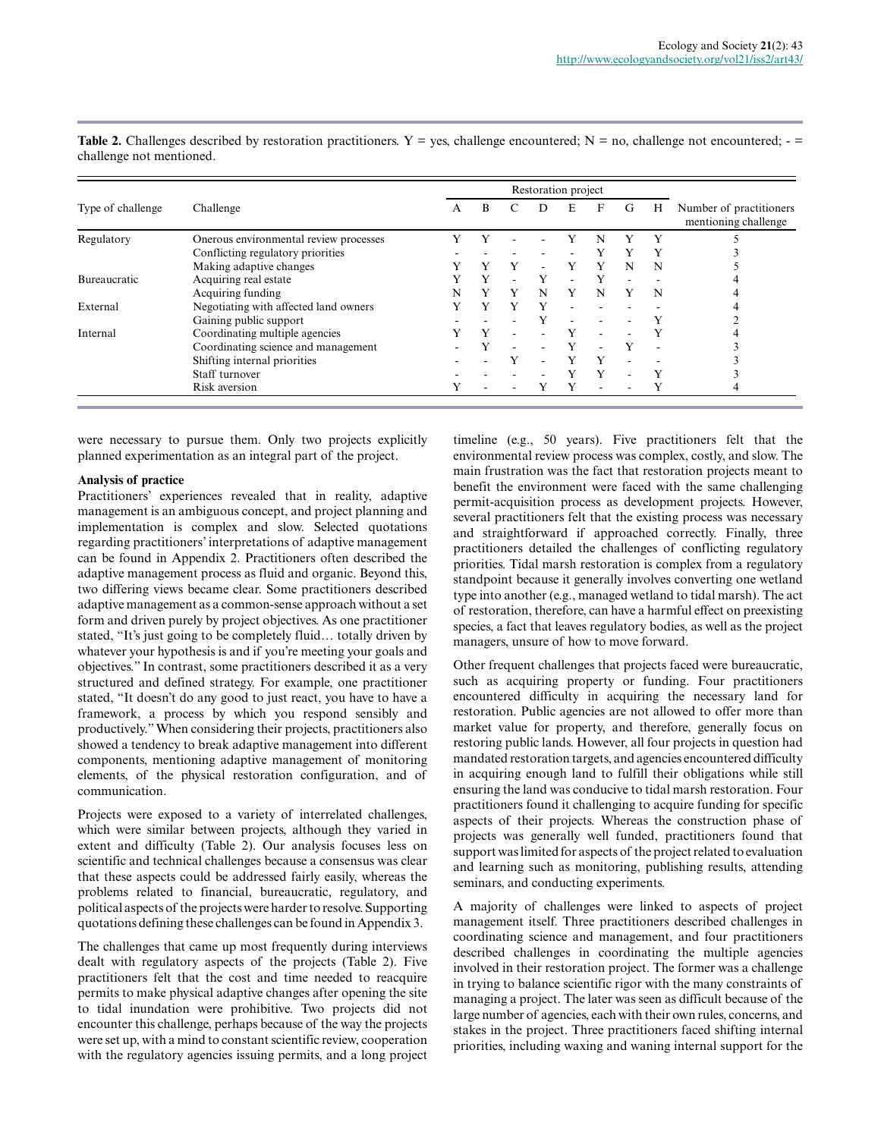|                     |                                        |   | Restoration project |   |   |                          |   |   |   |                                                 |
|---------------------|----------------------------------------|---|---------------------|---|---|--------------------------|---|---|---|-------------------------------------------------|
| Type of challenge   | Challenge                              | A | B                   |   | D | F.                       | F | G | Н | Number of practitioners<br>mentioning challenge |
| Regulatory          | Onerous environmental review processes |   | Y                   |   |   |                          | N |   | Y |                                                 |
|                     | Conflicting regulatory priorities      |   |                     |   |   |                          | Y |   | Y |                                                 |
|                     | Making adaptive changes                |   |                     |   |   |                          | Y | N | N |                                                 |
| <b>Bureaucratic</b> | Acquiring real estate                  |   | Y                   |   | Y | $\overline{\phantom{a}}$ | Y |   |   |                                                 |
|                     | Acquiring funding                      | N | Y                   | Y | N | Y                        | N |   | N |                                                 |
| External            | Negotiating with affected land owners  |   |                     |   | Y |                          |   |   |   |                                                 |
|                     | Gaining public support                 |   |                     |   |   |                          |   |   |   |                                                 |
| Internal            | Coordinating multiple agencies         |   |                     |   |   |                          |   |   |   |                                                 |
|                     | Coordinating science and management    |   |                     |   |   |                          |   |   |   |                                                 |
|                     | Shifting internal priorities           |   |                     | v |   | v                        | Y |   |   |                                                 |
|                     | Staff turnover                         |   |                     |   |   |                          | Y |   | Y |                                                 |
|                     | Risk aversion                          |   |                     |   |   |                          |   |   |   |                                                 |

**Table 2.** Challenges described by restoration practitioners.  $Y = yes$ , challenge encountered;  $N = no$ , challenge not encountered;  $$ challenge not mentioned.

were necessary to pursue them. Only two projects explicitly planned experimentation as an integral part of the project.

#### **Analysis of practice**

Practitioners' experiences revealed that in reality, adaptive management is an ambiguous concept, and project planning and implementation is complex and slow. Selected quotations regarding practitioners' interpretations of adaptive management can be found in Appendix 2. Practitioners often described the adaptive management process as fluid and organic. Beyond this, two differing views became clear. Some practitioners described adaptive management as a common-sense approach without a set form and driven purely by project objectives. As one practitioner stated, "It's just going to be completely fluid… totally driven by whatever your hypothesis is and if you're meeting your goals and objectives." In contrast, some practitioners described it as a very structured and defined strategy. For example, one practitioner stated, "It doesn't do any good to just react, you have to have a framework, a process by which you respond sensibly and productively." When considering their projects, practitioners also showed a tendency to break adaptive management into different components, mentioning adaptive management of monitoring elements, of the physical restoration configuration, and of communication.

Projects were exposed to a variety of interrelated challenges, which were similar between projects, although they varied in extent and difficulty (Table 2). Our analysis focuses less on scientific and technical challenges because a consensus was clear that these aspects could be addressed fairly easily, whereas the problems related to financial, bureaucratic, regulatory, and political aspects of the projects were harder to resolve. Supporting quotations defining these challenges can be found in Appendix 3.

The challenges that came up most frequently during interviews dealt with regulatory aspects of the projects (Table 2). Five practitioners felt that the cost and time needed to reacquire permits to make physical adaptive changes after opening the site to tidal inundation were prohibitive. Two projects did not encounter this challenge, perhaps because of the way the projects were set up, with a mind to constant scientific review, cooperation with the regulatory agencies issuing permits, and a long project

timeline (e.g., 50 years). Five practitioners felt that the environmental review process was complex, costly, and slow. The main frustration was the fact that restoration projects meant to benefit the environment were faced with the same challenging permit-acquisition process as development projects. However, several practitioners felt that the existing process was necessary and straightforward if approached correctly. Finally, three practitioners detailed the challenges of conflicting regulatory priorities. Tidal marsh restoration is complex from a regulatory standpoint because it generally involves converting one wetland type into another (e.g., managed wetland to tidal marsh). The act of restoration, therefore, can have a harmful effect on preexisting species, a fact that leaves regulatory bodies, as well as the project managers, unsure of how to move forward.

Other frequent challenges that projects faced were bureaucratic, such as acquiring property or funding. Four practitioners encountered difficulty in acquiring the necessary land for restoration. Public agencies are not allowed to offer more than market value for property, and therefore, generally focus on restoring public lands. However, all four projects in question had mandated restoration targets, and agencies encountered difficulty in acquiring enough land to fulfill their obligations while still ensuring the land was conducive to tidal marsh restoration. Four practitioners found it challenging to acquire funding for specific aspects of their projects. Whereas the construction phase of projects was generally well funded, practitioners found that support was limited for aspects of the project related to evaluation and learning such as monitoring, publishing results, attending seminars, and conducting experiments.

A majority of challenges were linked to aspects of project management itself. Three practitioners described challenges in coordinating science and management, and four practitioners described challenges in coordinating the multiple agencies involved in their restoration project. The former was a challenge in trying to balance scientific rigor with the many constraints of managing a project. The later was seen as difficult because of the large number of agencies, each with their own rules, concerns, and stakes in the project. Three practitioners faced shifting internal priorities, including waxing and waning internal support for the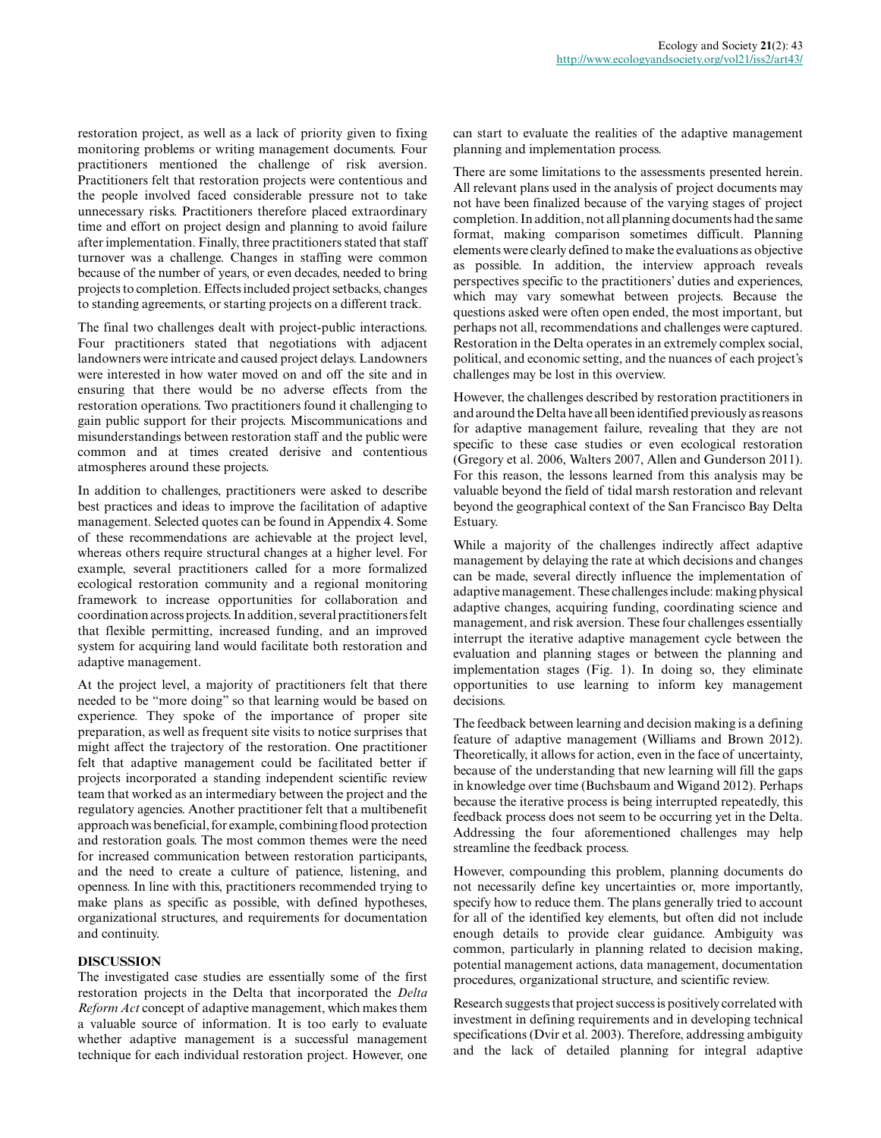restoration project, as well as a lack of priority given to fixing monitoring problems or writing management documents. Four practitioners mentioned the challenge of risk aversion. Practitioners felt that restoration projects were contentious and the people involved faced considerable pressure not to take unnecessary risks. Practitioners therefore placed extraordinary time and effort on project design and planning to avoid failure after implementation. Finally, three practitioners stated that staff turnover was a challenge. Changes in staffing were common because of the number of years, or even decades, needed to bring projects to completion. Effects included project setbacks, changes to standing agreements, or starting projects on a different track.

The final two challenges dealt with project-public interactions. Four practitioners stated that negotiations with adjacent landowners were intricate and caused project delays. Landowners were interested in how water moved on and off the site and in ensuring that there would be no adverse effects from the restoration operations. Two practitioners found it challenging to gain public support for their projects. Miscommunications and misunderstandings between restoration staff and the public were common and at times created derisive and contentious atmospheres around these projects.

In addition to challenges, practitioners were asked to describe best practices and ideas to improve the facilitation of adaptive management. Selected quotes can be found in Appendix 4. Some of these recommendations are achievable at the project level, whereas others require structural changes at a higher level. For example, several practitioners called for a more formalized ecological restoration community and a regional monitoring framework to increase opportunities for collaboration and coordination across projects. In addition, several practitioners felt that flexible permitting, increased funding, and an improved system for acquiring land would facilitate both restoration and adaptive management.

At the project level, a majority of practitioners felt that there needed to be "more doing" so that learning would be based on experience. They spoke of the importance of proper site preparation, as well as frequent site visits to notice surprises that might affect the trajectory of the restoration. One practitioner felt that adaptive management could be facilitated better if projects incorporated a standing independent scientific review team that worked as an intermediary between the project and the regulatory agencies. Another practitioner felt that a multibenefit approach was beneficial, for example, combining flood protection and restoration goals. The most common themes were the need for increased communication between restoration participants, and the need to create a culture of patience, listening, and openness. In line with this, practitioners recommended trying to make plans as specific as possible, with defined hypotheses, organizational structures, and requirements for documentation and continuity.

#### **DISCUSSION**

The investigated case studies are essentially some of the first restoration projects in the Delta that incorporated the *Delta Reform Act* concept of adaptive management, which makes them a valuable source of information. It is too early to evaluate whether adaptive management is a successful management technique for each individual restoration project. However, one

can start to evaluate the realities of the adaptive management planning and implementation process.

There are some limitations to the assessments presented herein. All relevant plans used in the analysis of project documents may not have been finalized because of the varying stages of project completion. In addition, not all planning documents had the same format, making comparison sometimes difficult. Planning elements were clearly defined to make the evaluations as objective as possible. In addition, the interview approach reveals perspectives specific to the practitioners' duties and experiences, which may vary somewhat between projects. Because the questions asked were often open ended, the most important, but perhaps not all, recommendations and challenges were captured. Restoration in the Delta operates in an extremely complex social, political, and economic setting, and the nuances of each project's challenges may be lost in this overview.

However, the challenges described by restoration practitioners in and around the Delta have all been identified previously as reasons for adaptive management failure, revealing that they are not specific to these case studies or even ecological restoration (Gregory et al. 2006, Walters 2007, Allen and Gunderson 2011). For this reason, the lessons learned from this analysis may be valuable beyond the field of tidal marsh restoration and relevant beyond the geographical context of the San Francisco Bay Delta Estuary.

While a majority of the challenges indirectly affect adaptive management by delaying the rate at which decisions and changes can be made, several directly influence the implementation of adaptive management. These challenges include: making physical adaptive changes, acquiring funding, coordinating science and management, and risk aversion. These four challenges essentially interrupt the iterative adaptive management cycle between the evaluation and planning stages or between the planning and implementation stages (Fig. 1). In doing so, they eliminate opportunities to use learning to inform key management decisions.

The feedback between learning and decision making is a defining feature of adaptive management (Williams and Brown 2012). Theoretically, it allows for action, even in the face of uncertainty, because of the understanding that new learning will fill the gaps in knowledge over time (Buchsbaum and Wigand 2012). Perhaps because the iterative process is being interrupted repeatedly, this feedback process does not seem to be occurring yet in the Delta. Addressing the four aforementioned challenges may help streamline the feedback process.

However, compounding this problem, planning documents do not necessarily define key uncertainties or, more importantly, specify how to reduce them. The plans generally tried to account for all of the identified key elements, but often did not include enough details to provide clear guidance. Ambiguity was common, particularly in planning related to decision making, potential management actions, data management, documentation procedures, organizational structure, and scientific review.

Research suggests that project success is positively correlated with investment in defining requirements and in developing technical specifications (Dvir et al. 2003). Therefore, addressing ambiguity and the lack of detailed planning for integral adaptive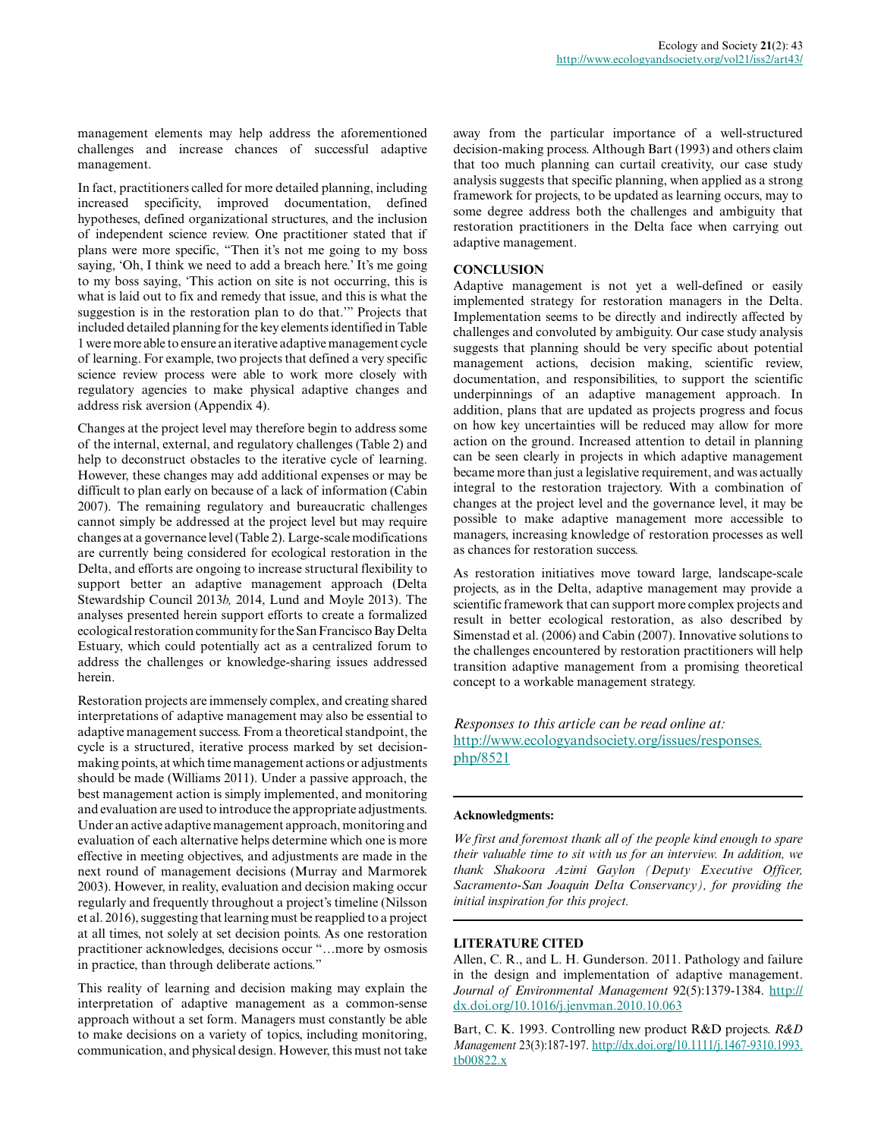management elements may help address the aforementioned challenges and increase chances of successful adaptive management.

In fact, practitioners called for more detailed planning, including increased specificity, improved documentation, defined hypotheses, defined organizational structures, and the inclusion of independent science review. One practitioner stated that if plans were more specific, "Then it's not me going to my boss saying, 'Oh, I think we need to add a breach here.' It's me going to my boss saying, 'This action on site is not occurring, this is what is laid out to fix and remedy that issue, and this is what the suggestion is in the restoration plan to do that.'" Projects that included detailed planning for the key elements identified in Table 1 were more able to ensure an iterative adaptive management cycle of learning. For example, two projects that defined a very specific science review process were able to work more closely with regulatory agencies to make physical adaptive changes and address risk aversion (Appendix 4).

Changes at the project level may therefore begin to address some of the internal, external, and regulatory challenges (Table 2) and help to deconstruct obstacles to the iterative cycle of learning. However, these changes may add additional expenses or may be difficult to plan early on because of a lack of information (Cabin 2007). The remaining regulatory and bureaucratic challenges cannot simply be addressed at the project level but may require changes at a governance level (Table 2). Large-scale modifications are currently being considered for ecological restoration in the Delta, and efforts are ongoing to increase structural flexibility to support better an adaptive management approach (Delta Stewardship Council 2013*b,* 2014, Lund and Moyle 2013). The analyses presented herein support efforts to create a formalized ecological restoration community for the San Francisco Bay Delta Estuary, which could potentially act as a centralized forum to address the challenges or knowledge-sharing issues addressed herein.

Restoration projects are immensely complex, and creating shared interpretations of adaptive management may also be essential to adaptive management success. From a theoretical standpoint, the cycle is a structured, iterative process marked by set decisionmaking points, at which time management actions or adjustments should be made (Williams 2011). Under a passive approach, the best management action is simply implemented, and monitoring and evaluation are used to introduce the appropriate adjustments. Under an active adaptive management approach, monitoring and evaluation of each alternative helps determine which one is more effective in meeting objectives, and adjustments are made in the next round of management decisions (Murray and Marmorek 2003). However, in reality, evaluation and decision making occur regularly and frequently throughout a project's timeline (Nilsson et al. 2016), suggesting that learning must be reapplied to a project at all times, not solely at set decision points. As one restoration practitioner acknowledges, decisions occur "…more by osmosis in practice, than through deliberate actions."

This reality of learning and decision making may explain the interpretation of adaptive management as a common-sense approach without a set form. Managers must constantly be able to make decisions on a variety of topics, including monitoring, communication, and physical design. However, this must not take

away from the particular importance of a well-structured decision-making process. Although Bart (1993) and others claim that too much planning can curtail creativity, our case study analysis suggests that specific planning, when applied as a strong framework for projects, to be updated as learning occurs, may to some degree address both the challenges and ambiguity that restoration practitioners in the Delta face when carrying out adaptive management.

#### **CONCLUSION**

Adaptive management is not yet a well-defined or easily implemented strategy for restoration managers in the Delta. Implementation seems to be directly and indirectly affected by challenges and convoluted by ambiguity. Our case study analysis suggests that planning should be very specific about potential management actions, decision making, scientific review, documentation, and responsibilities, to support the scientific underpinnings of an adaptive management approach. In addition, plans that are updated as projects progress and focus on how key uncertainties will be reduced may allow for more action on the ground. Increased attention to detail in planning can be seen clearly in projects in which adaptive management became more than just a legislative requirement, and was actually integral to the restoration trajectory. With a combination of changes at the project level and the governance level, it may be possible to make adaptive management more accessible to managers, increasing knowledge of restoration processes as well as chances for restoration success.

As restoration initiatives move toward large, landscape-scale projects, as in the Delta, adaptive management may provide a scientific framework that can support more complex projects and result in better ecological restoration, as also described by Simenstad et al. (2006) and Cabin (2007). Innovative solutions to the challenges encountered by restoration practitioners will help transition adaptive management from a promising theoretical concept to a workable management strategy.

*Responses to this article can be read online at:* [http://www.ecologyandsociety.org/issues/responses.](http://www.ecologyandsociety.org/issues/responses.php/8521) [php/8521](http://www.ecologyandsociety.org/issues/responses.php/8521)

#### **Acknowledgments:**

*We first and foremost thank all of the people kind enough to spare their valuable time to sit with us for an interview. In addition, we thank Shakoora Azimi Gaylon (Deputy Executive Officer, Sacramento-San Joaquin Delta Conservancy), for providing the initial inspiration for this project.*

#### **LITERATURE CITED**

Allen, C. R., and L. H. Gunderson. 2011. Pathology and failure in the design and implementation of adaptive management. *Journal of Environmental Management* 92(5):1379-1384. [http://](http://dx.doi.org/10.1016/j.jenvman.2010.10.063) [dx.doi.org/10.1016/j.jenvman.2010.10.063](http://dx.doi.org/10.1016/j.jenvman.2010.10.063) 

Bart, C. K. 1993. Controlling new product R&D projects. *R&D Management* 23(3):187-197. [http://dx.doi.org/10.1111/j.1467-9310.1993.](http://dx.doi.org/10.1111/j.1467-9310.1993.tb00822.x) [tb00822.x](http://dx.doi.org/10.1111/j.1467-9310.1993.tb00822.x)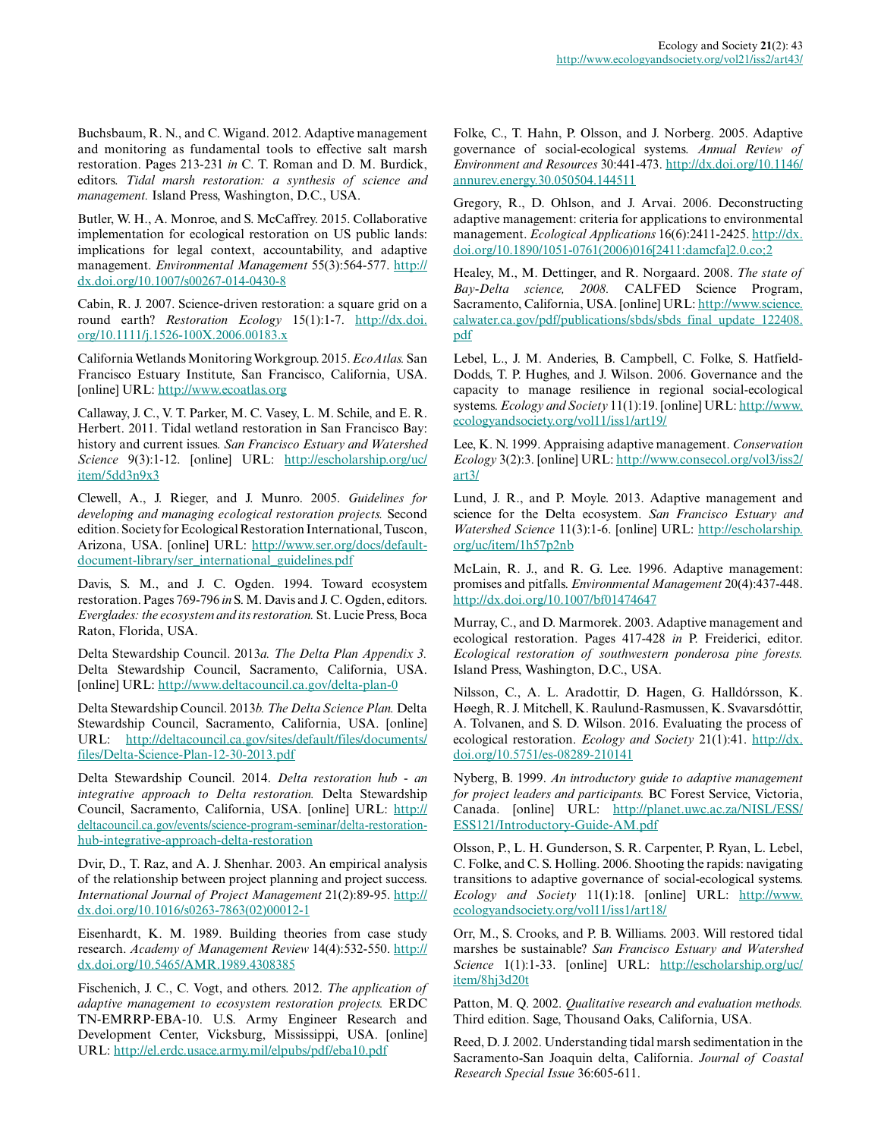Buchsbaum, R. N., and C. Wigand. 2012. Adaptive management and monitoring as fundamental tools to effective salt marsh restoration. Pages 213-231 *in* C. T. Roman and D. M. Burdick, editors. *Tidal marsh restoration: a synthesis of science and management.* Island Press, Washington, D.C., USA.

Butler, W. H., A. Monroe, and S. McCaffrey. 2015. Collaborative implementation for ecological restoration on US public lands: implications for legal context, accountability, and adaptive management. *Environmental Management* 55(3):564-577. [http://](http://dx.doi.org/10.1007/s00267-014-0430-8) [dx.doi.org/10.1007/s00267-014-0430-8](http://dx.doi.org/10.1007/s00267-014-0430-8) 

Cabin, R. J. 2007. Science-driven restoration: a square grid on a round earth? *Restoration Ecology* 15(1):1-7. [http://dx.doi.](http://dx.doi.org/10.1111/j.1526-100X.2006.00183.x) [org/10.1111/j.1526-100X.2006.00183.x](http://dx.doi.org/10.1111/j.1526-100X.2006.00183.x) 

California Wetlands Monitoring Workgroup. 2015. *EcoAtlas.* San Francisco Estuary Institute, San Francisco, California, USA. [online] URL: <http://www.ecoatlas.org>

Callaway, J. C., V. T. Parker, M. C. Vasey, L. M. Schile, and E. R. Herbert. 2011. Tidal wetland restoration in San Francisco Bay: history and current issues. *San Francisco Estuary and Watershed Science* 9(3):1-12. [online] URL: [http://escholarship.org/uc/](http://escholarship.org/uc/item/5dd3n9x3) [item/5dd3n9x3](http://escholarship.org/uc/item/5dd3n9x3) 

Clewell, A., J. Rieger, and J. Munro. 2005. *Guidelines for developing and managing ecological restoration projects.* Second edition. Society for Ecological Restoration International, Tuscon, Arizona, USA. [online] URL: [http://www.ser.org/docs/default](http://www.ser.org/docs/default-document-library/ser_international_guidelines.pdf)[document-library/ser\\_international\\_guidelines.pdf](http://www.ser.org/docs/default-document-library/ser_international_guidelines.pdf)

Davis, S. M., and J. C. Ogden. 1994. Toward ecosystem restoration. Pages 769-796 *in* S. M. Davis and J. C. Ogden, editors. *Everglades: the ecosystem and its restoration.* St. Lucie Press, Boca Raton, Florida, USA.

Delta Stewardship Council. 2013*a. The Delta Plan Appendix 3.* Delta Stewardship Council, Sacramento, California, USA. [online] URL: <http://www.deltacouncil.ca.gov/delta-plan-0>

Delta Stewardship Council. 2013*b. The Delta Science Plan.* Delta Stewardship Council, Sacramento, California, USA. [online] URL: [http://deltacouncil.ca.gov/sites/default/files/documents/](http://deltacouncil.ca.gov/sites/default/files/documents/files/Delta-Science-Plan-12-30-2013.pdf) [files/Delta-Science-Plan-12-30-2013.pdf](http://deltacouncil.ca.gov/sites/default/files/documents/files/Delta-Science-Plan-12-30-2013.pdf)

Delta Stewardship Council. 2014. *Delta restoration hub - an integrative approach to Delta restoration.* Delta Stewardship Council, Sacramento, California, USA. [online] URL: [http://](http://deltacouncil.ca.gov/events/science-program-seminar/delta-restoration-hub-integrative-approach-delta-restoration) [deltacouncil.ca.gov/events/science-program-seminar/delta-restoration](http://deltacouncil.ca.gov/events/science-program-seminar/delta-restoration-hub-integrative-approach-delta-restoration)[hub-integrative-approach-delta-restoration](http://deltacouncil.ca.gov/events/science-program-seminar/delta-restoration-hub-integrative-approach-delta-restoration)

Dvir, D., T. Raz, and A. J. Shenhar. 2003. An empirical analysis of the relationship between project planning and project success. *International Journal of Project Management* 21(2):89-95. [http://](http://dx.doi.org/10.1016/s0263-7863%2802%2900012-1) [dx.doi.org/10.1016/s0263-7863\(02\)00012-1](http://dx.doi.org/10.1016/s0263-7863%2802%2900012-1)

Eisenhardt, K. M. 1989. Building theories from case study research. *Academy of Management Review* 14(4):532-550. [http://](http://dx.doi.org/10.5465/AMR.1989.4308385) [dx.doi.org/10.5465/AMR.1989.4308385](http://dx.doi.org/10.5465/AMR.1989.4308385)

Fischenich, J. C., C. Vogt, and others. 2012. *The application of adaptive management to ecosystem restoration projects.* ERDC TN-EMRRP-EBA-10. U.S. Army Engineer Research and Development Center, Vicksburg, Mississippi, USA. [online] URL:<http://el.erdc.usace.army.mil/elpubs/pdf/eba10.pdf>

Folke, C., T. Hahn, P. Olsson, and J. Norberg. 2005. Adaptive governance of social-ecological systems. *Annual Review of Environment and Resources* 30:441-473. [http://dx.doi.org/10.1146/](http://dx.doi.org/10.1146/annurev.energy.30.050504.144511) [annurev.energy.30.050504.144511](http://dx.doi.org/10.1146/annurev.energy.30.050504.144511) 

Gregory, R., D. Ohlson, and J. Arvai. 2006. Deconstructing adaptive management: criteria for applications to environmental management. *Ecological Applications* 16(6):2411-2425. [http://dx.](http://dx.doi.org/10.1890/1051-0761%282006%29016%5B2411%3Adamcfa%5D2.0.co%3B2) [doi.org/10.1890/1051-0761\(2006\)016\[2411:damcfa\]2.0.co;2](http://dx.doi.org/10.1890/1051-0761%282006%29016%5B2411%3Adamcfa%5D2.0.co%3B2) 

Healey, M., M. Dettinger, and R. Norgaard. 2008. *The state of Bay-Delta science, 2008.* CALFED Science Program, Sacramento, California, USA. [online] URL: [http://www.science.](http://www.science.calwater.ca.gov/pdf/publications/sbds/sbds_final_update_122408.pdf) [calwater.ca.gov/pdf/publications/sbds/sbds\\_final\\_update\\_122408.](http://www.science.calwater.ca.gov/pdf/publications/sbds/sbds_final_update_122408.pdf) [pdf](http://www.science.calwater.ca.gov/pdf/publications/sbds/sbds_final_update_122408.pdf)

Lebel, L., J. M. Anderies, B. Campbell, C. Folke, S. Hatfield-Dodds, T. P. Hughes, and J. Wilson. 2006. Governance and the capacity to manage resilience in regional social-ecological systems. *Ecology and Society* 11(1):19. [online] URL: [http://www.](http://www.ecologyandsociety.org/vol11/iss1/art19/) [ecologyandsociety.org/vol11/iss1/art19/](http://www.ecologyandsociety.org/vol11/iss1/art19/)

Lee, K. N. 1999. Appraising adaptive management. *Conservation Ecology* 3(2):3. [online] URL: [http://www.consecol.org/vol3/iss2/](http://www.consecol.org/vol3/iss2/art3/) [art3/](http://www.consecol.org/vol3/iss2/art3/) 

Lund, J. R., and P. Moyle. 2013. Adaptive management and science for the Delta ecosystem. *San Francisco Estuary and Watershed Science* 11(3):1-6. [online] URL: [http://escholarship.](http://escholarship.org/uc/item/1h57p2nb) [org/uc/item/1h57p2nb](http://escholarship.org/uc/item/1h57p2nb) 

McLain, R. J., and R. G. Lee. 1996. Adaptive management: promises and pitfalls. *Environmental Management* 20(4):437-448. <http://dx.doi.org/10.1007/bf01474647>

Murray, C., and D. Marmorek. 2003. Adaptive management and ecological restoration. Pages 417-428 *in* P. Freiderici, editor. *Ecological restoration of southwestern ponderosa pine forests.* Island Press, Washington, D.C., USA.

Nilsson, C., A. L. Aradottir, D. Hagen, G. Halldórsson, K. Høegh, R. J. Mitchell, K. Raulund-Rasmussen, K. Svavarsdóttir, A. Tolvanen, and S. D. Wilson. 2016. Evaluating the process of ecological restoration. *Ecology and Society* 21(1):41. [http://dx.](http://dx.doi.org/10.5751/es-08289-210141) [doi.org/10.5751/es-08289-210141](http://dx.doi.org/10.5751/es-08289-210141) 

Nyberg, B. 1999. *An introductory guide to adaptive management for project leaders and participants.* BC Forest Service, Victoria, Canada. [online] URL: [http://planet.uwc.ac.za/NISL/ESS/](http://planet.uwc.ac.za/NISL/ESS/ESS121/Introductory-Guide-AM.pdf) [ESS121/Introductory-Guide-AM.pdf](http://planet.uwc.ac.za/NISL/ESS/ESS121/Introductory-Guide-AM.pdf)

Olsson, P., L. H. Gunderson, S. R. Carpenter, P. Ryan, L. Lebel, C. Folke, and C. S. Holling. 2006. Shooting the rapids: navigating transitions to adaptive governance of social-ecological systems. *Ecology and Society* 11(1):18. [online] URL: [http://www.](http://www.ecologyandsociety.org/vol11/iss1/art18/) [ecologyandsociety.org/vol11/iss1/art18/](http://www.ecologyandsociety.org/vol11/iss1/art18/)

Orr, M., S. Crooks, and P. B. Williams. 2003. Will restored tidal marshes be sustainable? *San Francisco Estuary and Watershed Science* 1(1):1-33. [online] URL: [http://escholarship.org/uc/](http://escholarship.org/uc/item/8hj3d20t) [item/8hj3d20t](http://escholarship.org/uc/item/8hj3d20t) 

Patton, M. Q. 2002. *Qualitative research and evaluation methods.* Third edition. Sage, Thousand Oaks, California, USA.

Reed, D. J. 2002. Understanding tidal marsh sedimentation in the Sacramento-San Joaquin delta, California. *Journal of Coastal Research Special Issue* 36:605-611.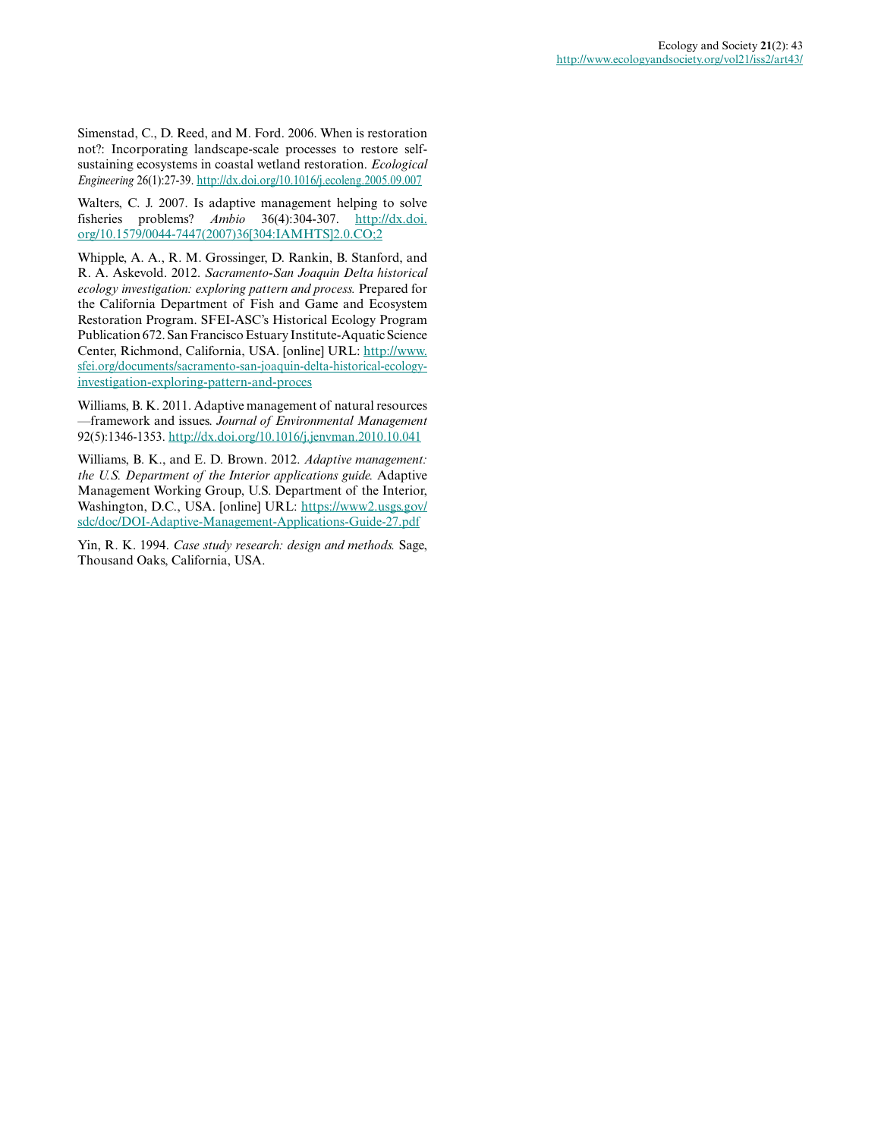Simenstad, C., D. Reed, and M. Ford. 2006. When is restoration not?: Incorporating landscape-scale processes to restore selfsustaining ecosystems in coastal wetland restoration. *Ecological Engineering* 26(1):27-39. <http://dx.doi.org/10.1016/j.ecoleng.2005.09.007>

Walters, C. J. 2007. Is adaptive management helping to solve fisheries problems? *Ambio* 36(4):304-307. [http://dx.doi.](http://dx.doi.org/10.1579/0044-7447(2007)36[304:IAMHTS]2.0.CO;2) [org/10.1579/0044-7447\(2007\)36\[304:IAMHTS\]2.0.CO;2](http://dx.doi.org/10.1579/0044-7447(2007)36[304:IAMHTS]2.0.CO;2) 

Whipple, A. A., R. M. Grossinger, D. Rankin, B. Stanford, and R. A. Askevold. 2012. *Sacramento-San Joaquin Delta historical ecology investigation: exploring pattern and process.* Prepared for the California Department of Fish and Game and Ecosystem Restoration Program. SFEI-ASC's Historical Ecology Program Publication 672. San Francisco Estuary Institute-Aquatic Science Center, Richmond, California, USA. [online] URL: [http://www.](http://www.sfei.org/documents/sacramento-san-joaquin-delta-historical-ecology-investigation-exploring-pattern-and-proces) [sfei.org/documents/sacramento-san-joaquin-delta-historical-ecology](http://www.sfei.org/documents/sacramento-san-joaquin-delta-historical-ecology-investigation-exploring-pattern-and-proces)[investigation-exploring-pattern-and-proces](http://www.sfei.org/documents/sacramento-san-joaquin-delta-historical-ecology-investigation-exploring-pattern-and-proces) 

Williams, B. K. 2011. Adaptive management of natural resources —framework and issues. *Journal of Environmental Management* 92(5):1346-1353.<http://dx.doi.org/10.1016/j.jenvman.2010.10.041>

Williams, B. K., and E. D. Brown. 2012. *Adaptive management: the U.S. Department of the Interior applications guide.* Adaptive Management Working Group, U.S. Department of the Interior, Washington, D.C., USA. [online] URL: [https://www2.usgs.gov/](https://www2.usgs.gov/sdc/doc/DOI-Adaptive-Management-Applications-Guide-27.pdf) [sdc/doc/DOI-Adaptive-Management-Applications-Guide-27.pdf](https://www2.usgs.gov/sdc/doc/DOI-Adaptive-Management-Applications-Guide-27.pdf)

Yin, R. K. 1994. *Case study research: design and methods.* Sage, Thousand Oaks, California, USA.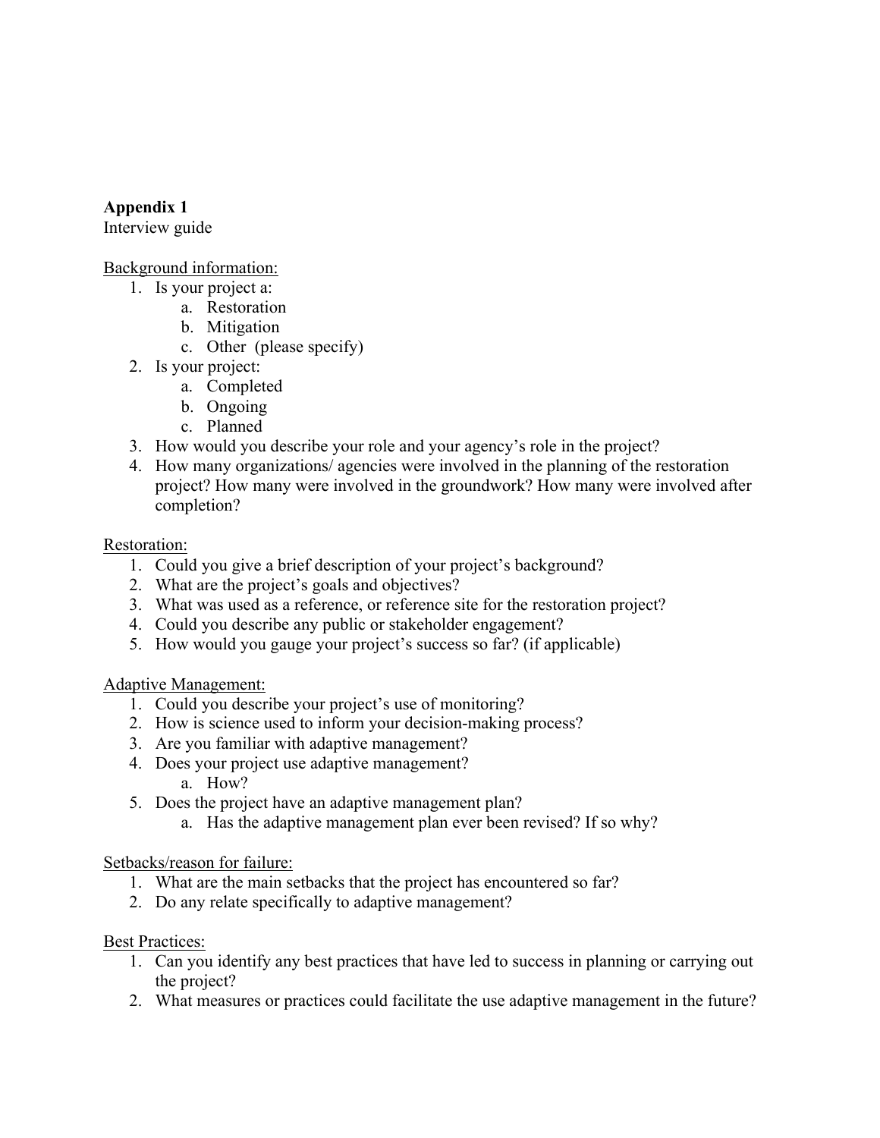# **Appendix 1**

Interview guide

### Background information:

- 1. Is your project a:
	- a. Restoration
	- b. Mitigation
	- c. Other (please specify)
- 2. Is your project:
	- a. Completed
	- b. Ongoing
	- c. Planned
- 3. How would you describe your role and your agency's role in the project?
- 4. How many organizations/ agencies were involved in the planning of the restoration project? How many were involved in the groundwork? How many were involved after completion?

# Restoration:

- 1. Could you give a brief description of your project's background?
- 2. What are the project's goals and objectives?
- 3. What was used as a reference, or reference site for the restoration project?
- 4. Could you describe any public or stakeholder engagement?
- 5. How would you gauge your project's success so far? (if applicable)

# Adaptive Management:

- 1. Could you describe your project's use of monitoring?
- 2. How is science used to inform your decision-making process?
- 3. Are you familiar with adaptive management?
- 4. Does your project use adaptive management?
	- a. How?
- 5. Does the project have an adaptive management plan?
	- a. Has the adaptive management plan ever been revised? If so why?

# Setbacks/reason for failure:

- 1. What are the main setbacks that the project has encountered so far?
- 2. Do any relate specifically to adaptive management?

# Best Practices:

- 1. Can you identify any best practices that have led to success in planning or carrying out the project?
- 2. What measures or practices could facilitate the use adaptive management in the future?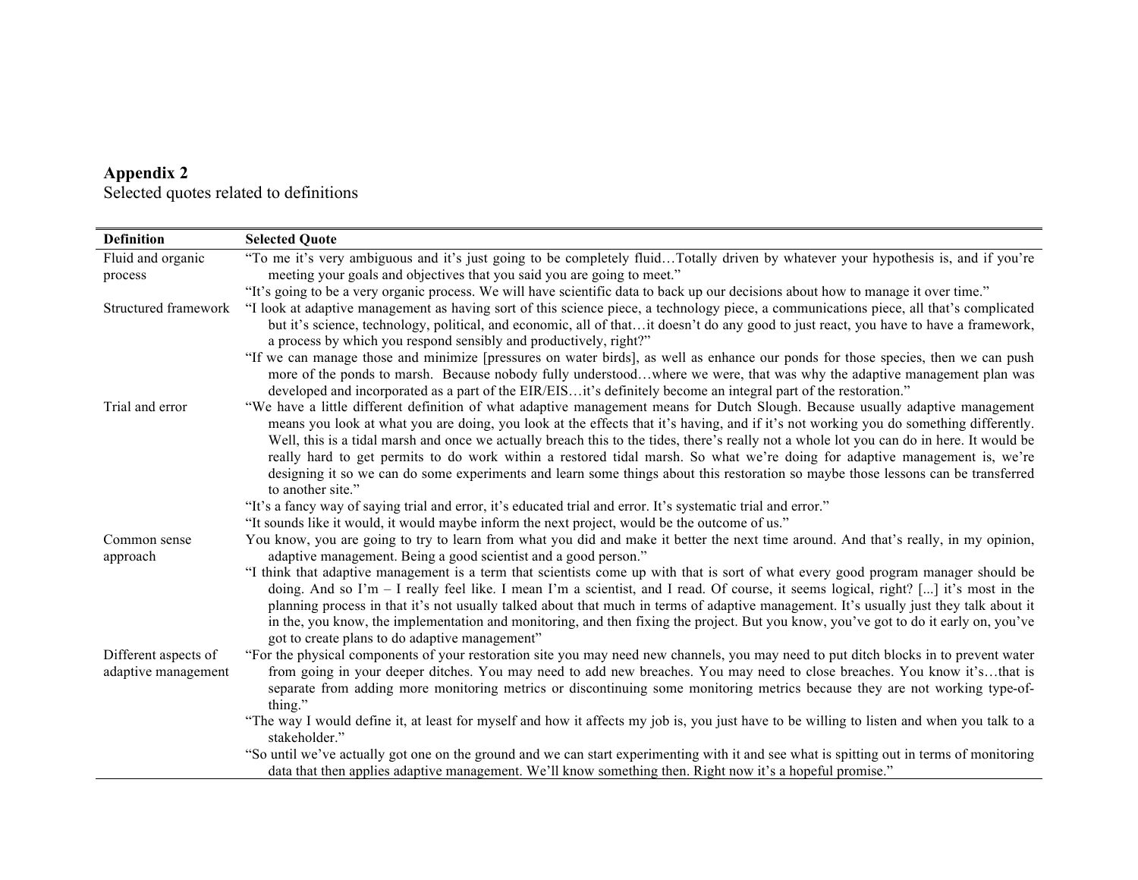| Appendix 2 |                                        |
|------------|----------------------------------------|
|            | Selected quotes related to definitions |

| <b>Definition</b>                           | <b>Selected Quote</b>                                                                                                                                                                                                                                                                                                                                                                                                                                                                                                                                                                                           |
|---------------------------------------------|-----------------------------------------------------------------------------------------------------------------------------------------------------------------------------------------------------------------------------------------------------------------------------------------------------------------------------------------------------------------------------------------------------------------------------------------------------------------------------------------------------------------------------------------------------------------------------------------------------------------|
| Fluid and organic                           | "To me it's very ambiguous and it's just going to be completely fluidTotally driven by whatever your hypothesis is, and if you're                                                                                                                                                                                                                                                                                                                                                                                                                                                                               |
| process                                     | meeting your goals and objectives that you said you are going to meet."                                                                                                                                                                                                                                                                                                                                                                                                                                                                                                                                         |
|                                             | "It's going to be a very organic process. We will have scientific data to back up our decisions about how to manage it over time."                                                                                                                                                                                                                                                                                                                                                                                                                                                                              |
| Structured framework                        | "I look at adaptive management as having sort of this science piece, a technology piece, a communications piece, all that's complicated                                                                                                                                                                                                                                                                                                                                                                                                                                                                         |
|                                             | but it's science, technology, political, and economic, all of thatit doesn't do any good to just react, you have to have a framework,<br>a process by which you respond sensibly and productively, right?"                                                                                                                                                                                                                                                                                                                                                                                                      |
|                                             | "If we can manage those and minimize [pressures on water birds], as well as enhance our ponds for those species, then we can push<br>more of the ponds to marsh. Because nobody fully understoodwhere we were, that was why the adaptive management plan was<br>developed and incorporated as a part of the EIR/EISit's definitely become an integral part of the restoration."                                                                                                                                                                                                                                 |
| Trial and error                             | "We have a little different definition of what adaptive management means for Dutch Slough. Because usually adaptive management<br>means you look at what you are doing, you look at the effects that it's having, and if it's not working you do something differently.                                                                                                                                                                                                                                                                                                                                         |
|                                             | Well, this is a tidal marsh and once we actually breach this to the tides, there's really not a whole lot you can do in here. It would be<br>really hard to get permits to do work within a restored tidal marsh. So what we're doing for adaptive management is, we're                                                                                                                                                                                                                                                                                                                                         |
|                                             | designing it so we can do some experiments and learn some things about this restoration so maybe those lessons can be transferred<br>to another site."                                                                                                                                                                                                                                                                                                                                                                                                                                                          |
|                                             | "It's a fancy way of saying trial and error, it's educated trial and error. It's systematic trial and error."                                                                                                                                                                                                                                                                                                                                                                                                                                                                                                   |
|                                             | "It sounds like it would, it would maybe inform the next project, would be the outcome of us."                                                                                                                                                                                                                                                                                                                                                                                                                                                                                                                  |
| Common sense<br>approach                    | You know, you are going to try to learn from what you did and make it better the next time around. And that's really, in my opinion,<br>adaptive management. Being a good scientist and a good person."                                                                                                                                                                                                                                                                                                                                                                                                         |
|                                             | "I think that adaptive management is a term that scientists come up with that is sort of what every good program manager should be<br>doing. And so I'm $-$ I really feel like. I mean I'm a scientist, and I read. Of course, it seems logical, right? [] it's most in the<br>planning process in that it's not usually talked about that much in terms of adaptive management. It's usually just they talk about it<br>in the, you know, the implementation and monitoring, and then fixing the project. But you know, you've got to do it early on, you've<br>got to create plans to do adaptive management" |
| Different aspects of<br>adaptive management | "For the physical components of your restoration site you may need new channels, you may need to put ditch blocks in to prevent water<br>from going in your deeper ditches. You may need to add new breaches. You may need to close breaches. You know it'sthat is<br>separate from adding more monitoring metrics or discontinuing some monitoring metrics because they are not working type-of-<br>thing."                                                                                                                                                                                                    |
|                                             | "The way I would define it, at least for myself and how it affects my job is, you just have to be willing to listen and when you talk to a<br>stakeholder."                                                                                                                                                                                                                                                                                                                                                                                                                                                     |
|                                             | "So until we've actually got one on the ground and we can start experimenting with it and see what is spitting out in terms of monitoring<br>data that then applies adaptive management. We'll know something then. Right now it's a hopeful promise."                                                                                                                                                                                                                                                                                                                                                          |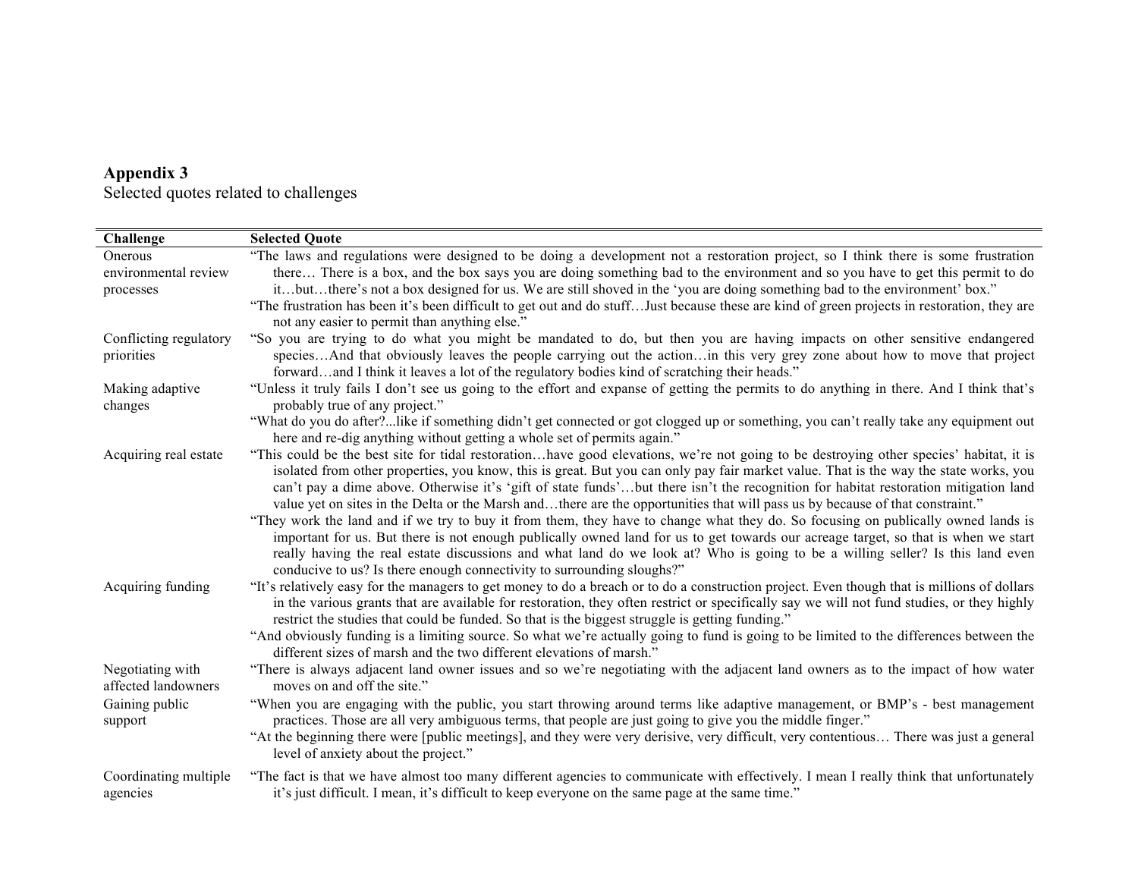| Appendix 3 |                                       |
|------------|---------------------------------------|
|            | Selected quotes related to challenges |

| Challenge                               | <b>Selected Quote</b>                                                                                                                                                                                                                                                                                                                                                                                                                                                              |
|-----------------------------------------|------------------------------------------------------------------------------------------------------------------------------------------------------------------------------------------------------------------------------------------------------------------------------------------------------------------------------------------------------------------------------------------------------------------------------------------------------------------------------------|
| Onerous                                 | "The laws and regulations were designed to be doing a development not a restoration project, so I think there is some frustration                                                                                                                                                                                                                                                                                                                                                  |
| environmental review                    | there There is a box, and the box says you are doing something bad to the environment and so you have to get this permit to do                                                                                                                                                                                                                                                                                                                                                     |
| processes                               | itbutthere's not a box designed for us. We are still shoved in the 'you are doing something bad to the environment' box."                                                                                                                                                                                                                                                                                                                                                          |
|                                         | "The frustration has been it's been difficult to get out and do stuff Just because these are kind of green projects in restoration, they are                                                                                                                                                                                                                                                                                                                                       |
|                                         | not any easier to permit than anything else."                                                                                                                                                                                                                                                                                                                                                                                                                                      |
| Conflicting regulatory                  | "So you are trying to do what you might be mandated to do, but then you are having impacts on other sensitive endangered                                                                                                                                                                                                                                                                                                                                                           |
| priorities                              | speciesAnd that obviously leaves the people carrying out the actionin this very grey zone about how to move that project                                                                                                                                                                                                                                                                                                                                                           |
|                                         | forwardand I think it leaves a lot of the regulatory bodies kind of scratching their heads."                                                                                                                                                                                                                                                                                                                                                                                       |
| Making adaptive<br>changes              | "Unless it truly fails I don't see us going to the effort and expanse of getting the permits to do anything in there. And I think that's<br>probably true of any project."                                                                                                                                                                                                                                                                                                         |
|                                         | "What do you do after?like if something didn't get connected or got clogged up or something, you can't really take any equipment out<br>here and re-dig anything without getting a whole set of permits again."                                                                                                                                                                                                                                                                    |
| Acquiring real estate                   | "This could be the best site for tidal restorationhave good elevations, we're not going to be destroying other species' habitat, it is                                                                                                                                                                                                                                                                                                                                             |
|                                         | isolated from other properties, you know, this is great. But you can only pay fair market value. That is the way the state works, you<br>can't pay a dime above. Otherwise it's 'gift of state funds'but there isn't the recognition for habitat restoration mitigation land<br>value yet on sites in the Delta or the Marsh andthere are the opportunities that will pass us by because of that constraint."                                                                      |
|                                         | "They work the land and if we try to buy it from them, they have to change what they do. So focusing on publically owned lands is<br>important for us. But there is not enough publically owned land for us to get towards our acreage target, so that is when we start<br>really having the real estate discussions and what land do we look at? Who is going to be a willing seller? Is this land even<br>conducive to us? Is there enough connectivity to surrounding sloughs?" |
| Acquiring funding                       | "It's relatively easy for the managers to get money to do a breach or to do a construction project. Even though that is millions of dollars<br>in the various grants that are available for restoration, they often restrict or specifically say we will not fund studies, or they highly<br>restrict the studies that could be funded. So that is the biggest struggle is getting funding."                                                                                       |
|                                         | "And obviously funding is a limiting source. So what we're actually going to fund is going to be limited to the differences between the<br>different sizes of marsh and the two different elevations of marsh."                                                                                                                                                                                                                                                                    |
| Negotiating with<br>affected landowners | "There is always adjacent land owner issues and so we're negotiating with the adjacent land owners as to the impact of how water<br>moves on and off the site."                                                                                                                                                                                                                                                                                                                    |
| Gaining public<br>support               | "When you are engaging with the public, you start throwing around terms like adaptive management, or BMP's - best management<br>practices. Those are all very ambiguous terms, that people are just going to give you the middle finger."                                                                                                                                                                                                                                          |
|                                         | "At the beginning there were [public meetings], and they were very derisive, very difficult, very contentious There was just a general<br>level of anxiety about the project."                                                                                                                                                                                                                                                                                                     |
| Coordinating multiple<br>agencies       | "The fact is that we have almost too many different agencies to communicate with effectively. I mean I really think that unfortunately<br>it's just difficult. I mean, it's difficult to keep everyone on the same page at the same time."                                                                                                                                                                                                                                         |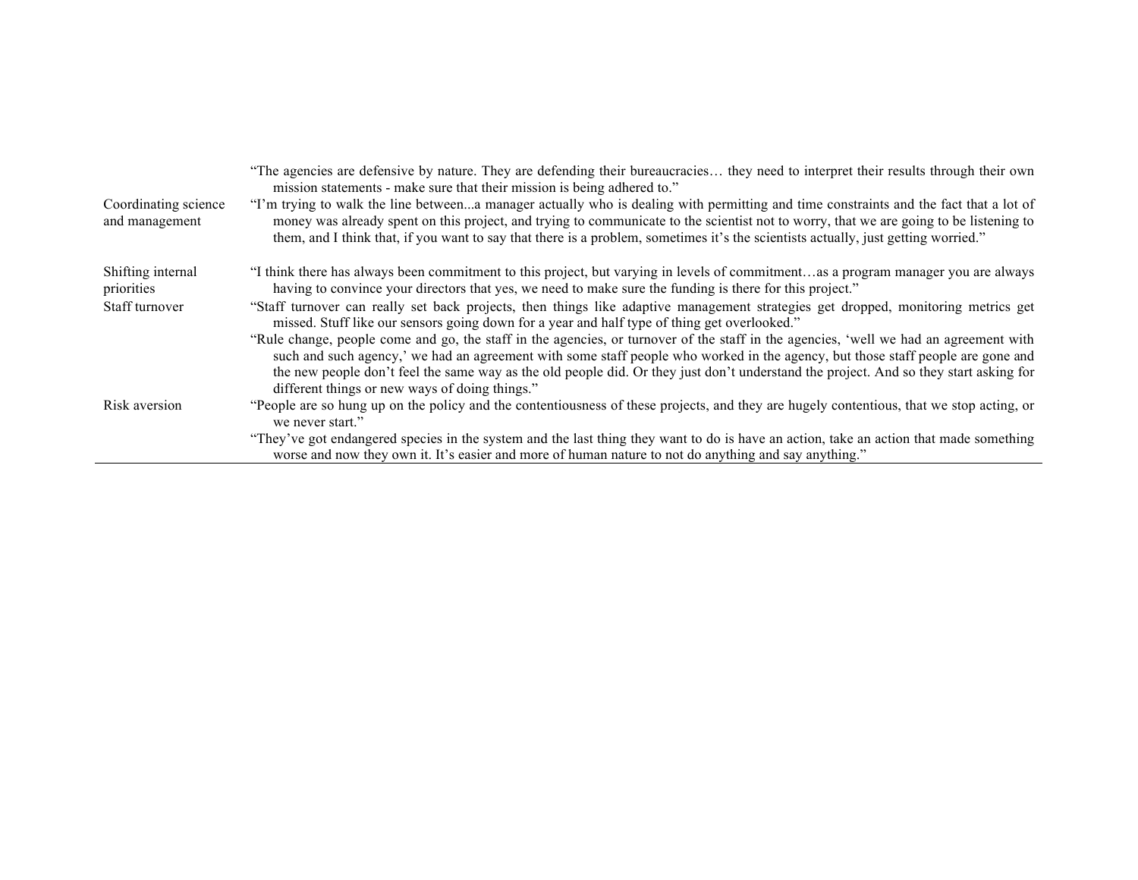| Coordinating science<br>and management | "The agencies are defensive by nature. They are defending their bureaucracies they need to interpret their results through their own<br>mission statements - make sure that their mission is being adhered to."<br>"I'm trying to walk the line betweena manager actually who is dealing with permitting and time constraints and the fact that a lot of<br>money was already spent on this project, and trying to communicate to the scientist not to worry, that we are going to be listening to<br>them, and I think that, if you want to say that there is a problem, sometimes it's the scientists actually, just getting worried." |
|----------------------------------------|------------------------------------------------------------------------------------------------------------------------------------------------------------------------------------------------------------------------------------------------------------------------------------------------------------------------------------------------------------------------------------------------------------------------------------------------------------------------------------------------------------------------------------------------------------------------------------------------------------------------------------------|
| Shifting internal                      | "I think there has always been commitment to this project, but varying in levels of commitmentas a program manager you are always                                                                                                                                                                                                                                                                                                                                                                                                                                                                                                        |
| priorities                             | having to convince your directors that yes, we need to make sure the funding is there for this project."                                                                                                                                                                                                                                                                                                                                                                                                                                                                                                                                 |
| Staff turnover                         | "Staff turnover can really set back projects, then things like adaptive management strategies get dropped, monitoring metrics get<br>missed. Stuff like our sensors going down for a year and half type of thing get overlooked."                                                                                                                                                                                                                                                                                                                                                                                                        |
|                                        | "Rule change, people come and go, the staff in the agencies, or turnover of the staff in the agencies, 'well we had an agreement with<br>such and such agency,' we had an agreement with some staff people who worked in the agency, but those staff people are gone and<br>the new people don't feel the same way as the old people did. Or they just don't understand the project. And so they start asking for                                                                                                                                                                                                                        |
|                                        | different things or new ways of doing things."                                                                                                                                                                                                                                                                                                                                                                                                                                                                                                                                                                                           |
| Risk aversion                          | "People are so hung up on the policy and the contentiousness of these projects, and they are hugely contentious, that we stop acting, or<br>we never start."                                                                                                                                                                                                                                                                                                                                                                                                                                                                             |
|                                        | "They've got endangered species in the system and the last thing they want to do is have an action, take an action that made something<br>worse and now they own it. It's easier and more of human nature to not do anything and say anything."                                                                                                                                                                                                                                                                                                                                                                                          |
|                                        |                                                                                                                                                                                                                                                                                                                                                                                                                                                                                                                                                                                                                                          |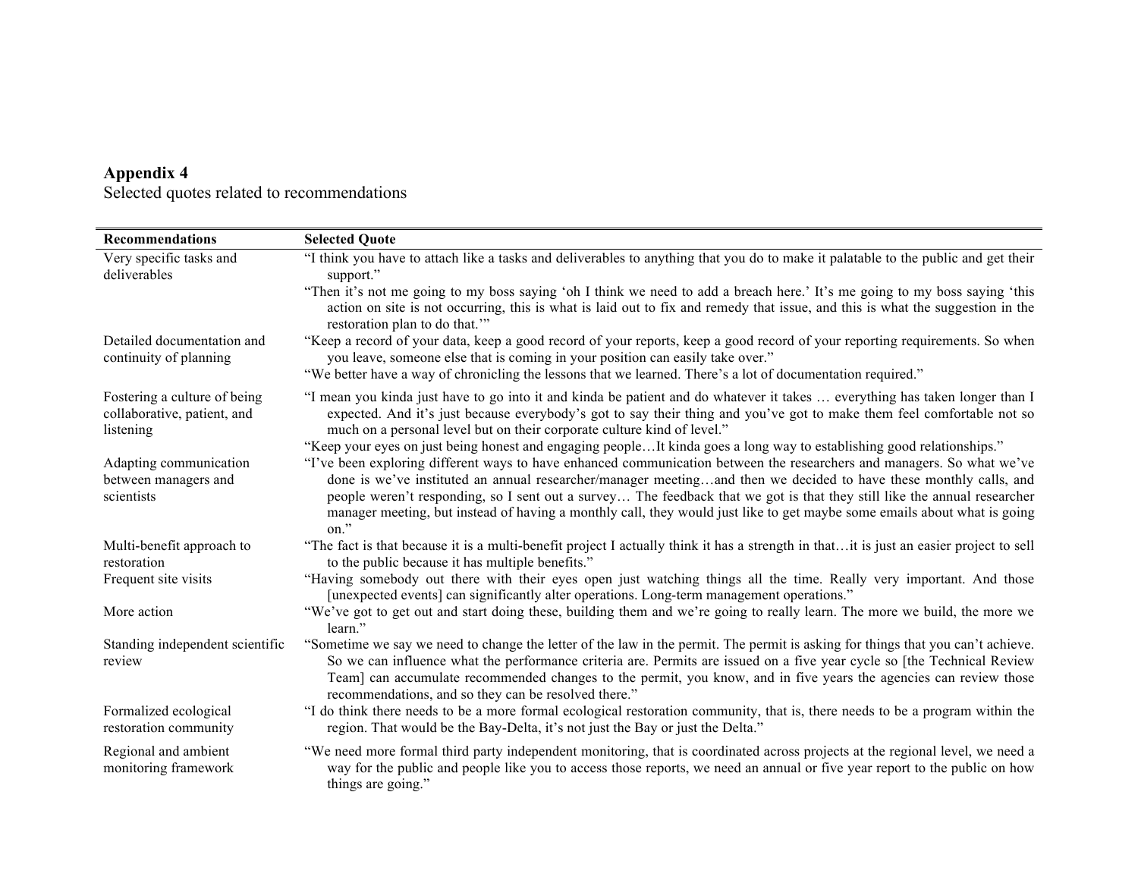| <b>Recommendations</b>                                                   | <b>Selected Quote</b>                                                                                                                                                                                                                                                                                                                                                                                                                                                                                       |
|--------------------------------------------------------------------------|-------------------------------------------------------------------------------------------------------------------------------------------------------------------------------------------------------------------------------------------------------------------------------------------------------------------------------------------------------------------------------------------------------------------------------------------------------------------------------------------------------------|
| Very specific tasks and<br>deliverables                                  | "I think you have to attach like a tasks and deliverables to anything that you do to make it palatable to the public and get their<br>support."                                                                                                                                                                                                                                                                                                                                                             |
|                                                                          | "Then it's not me going to my boss saying 'oh I think we need to add a breach here.' It's me going to my boss saying 'this<br>action on site is not occurring, this is what is laid out to fix and remedy that issue, and this is what the suggestion in the<br>restoration plan to do that."                                                                                                                                                                                                               |
| Detailed documentation and<br>continuity of planning                     | "Keep a record of your data, keep a good record of your reports, keep a good record of your reporting requirements. So when<br>you leave, someone else that is coming in your position can easily take over."                                                                                                                                                                                                                                                                                               |
|                                                                          | "We better have a way of chronicling the lessons that we learned. There's a lot of documentation required."                                                                                                                                                                                                                                                                                                                                                                                                 |
| Fostering a culture of being<br>collaborative, patient, and<br>listening | "I mean you kinda just have to go into it and kinda be patient and do whatever it takes  everything has taken longer than I<br>expected. And it's just because everybody's got to say their thing and you've got to make them feel comfortable not so<br>much on a personal level but on their corporate culture kind of level."                                                                                                                                                                            |
|                                                                          | "Keep your eyes on just being honest and engaging peopleIt kinda goes a long way to establishing good relationships."                                                                                                                                                                                                                                                                                                                                                                                       |
| Adapting communication<br>between managers and<br>scientists             | "I've been exploring different ways to have enhanced communication between the researchers and managers. So what we've<br>done is we've instituted an annual researcher/manager meetingand then we decided to have these monthly calls, and<br>people weren't responding, so I sent out a survey The feedback that we got is that they still like the annual researcher<br>manager meeting, but instead of having a monthly call, they would just like to get maybe some emails about what is going<br>on." |
| Multi-benefit approach to<br>restoration                                 | "The fact is that because it is a multi-benefit project I actually think it has a strength in thatit is just an easier project to sell<br>to the public because it has multiple benefits."                                                                                                                                                                                                                                                                                                                  |
| Frequent site visits                                                     | "Having somebody out there with their eyes open just watching things all the time. Really very important. And those<br>[unexpected events] can significantly alter operations. Long-term management operations."                                                                                                                                                                                                                                                                                            |
| More action                                                              | "We've got to get out and start doing these, building them and we're going to really learn. The more we build, the more we<br>learn."                                                                                                                                                                                                                                                                                                                                                                       |
| Standing independent scientific<br>review                                | "Sometime we say we need to change the letter of the law in the permit. The permit is asking for things that you can't achieve.<br>So we can influence what the performance criteria are. Permits are issued on a five year cycle so [the Technical Review<br>Team] can accumulate recommended changes to the permit, you know, and in five years the agencies can review those<br>recommendations, and so they can be resolved there."                                                                     |
| Formalized ecological<br>restoration community                           | "I do think there needs to be a more formal ecological restoration community, that is, there needs to be a program within the<br>region. That would be the Bay-Delta, it's not just the Bay or just the Delta."                                                                                                                                                                                                                                                                                             |
| Regional and ambient<br>monitoring framework                             | "We need more formal third party independent monitoring, that is coordinated across projects at the regional level, we need a<br>way for the public and people like you to access those reports, we need an annual or five year report to the public on how<br>things are going."                                                                                                                                                                                                                           |

### **Appendix 4** Selected quotes related to recommendations